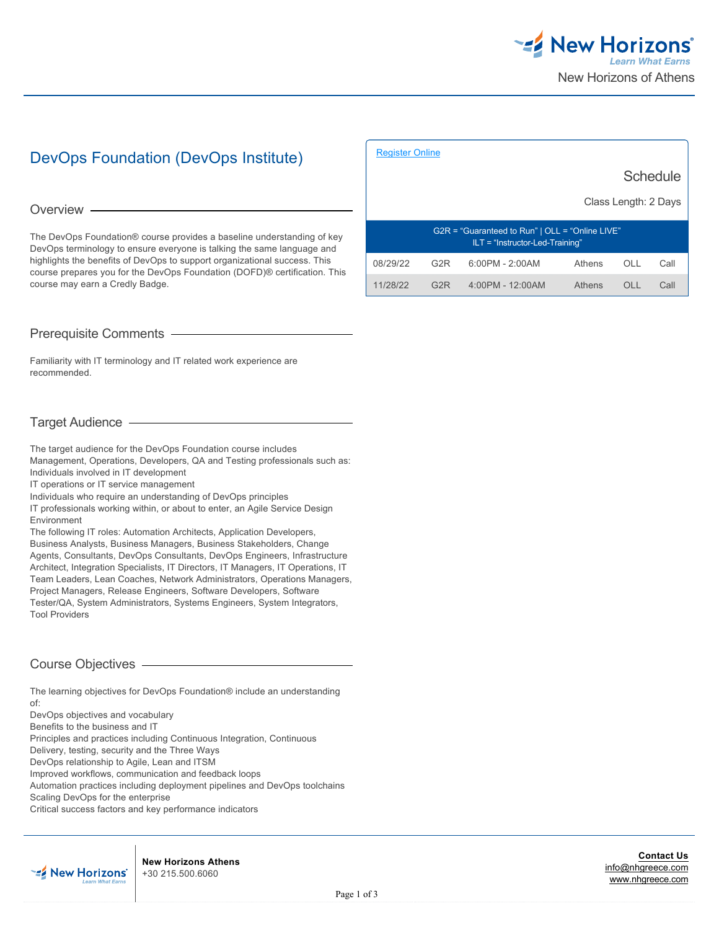

# DevOps Foundation (DevOps Institute)

#### Overview -

The DevOps Foundation® course provides a baseline understanding of key DevOps terminology to ensure everyone is talking the same language and highlights the benefits of DevOps to support organizational success. This course prepares you for the DevOps Foundation (DOFD)® certification. This course may earn a Credly Badge.

# Prerequisite Comments

Familiarity with IT terminology and IT related work experience are recommended.

# Target Audience

The target audience for the DevOps Foundation course includes Management, Operations, Developers, QA and Testing professionals such as: Individuals involved in IT development

IT operations or IT service management

Individuals who require an understanding of DevOps principles

IT professionals working within, or about to enter, an Agile Service Design Environment

The following IT roles: Automation Architects, Application Developers, Business Analysts, Business Managers, Business Stakeholders, Change Agents, Consultants, DevOps Consultants, DevOps Engineers, Infrastructure Architect, Integration Specialists, IT Directors, IT Managers, IT Operations, IT Team Leaders, Lean Coaches, Network Administrators, Operations Managers, Project Managers, Release Engineers, Software Developers, Software Tester/QA, System Administrators, Systems Engineers, System Integrators, Tool Providers

# Course Objectives

The learning objectives for DevOps Foundation® include an understanding of:

DevOps objectives and vocabulary

Benefits to the business and IT

Principles and practices including Continuous Integration, Continuous

Delivery, testing, security and the Three Ways

DevOps relationship to Agile, Lean and ITSM

Improved workflows, communication and feedback loops

Automation practices including deployment pipelines and DevOps toolchains

Scaling DevOps for the enterprise

Critical success factors and key performance indicators



**New Horizons Athens** +30 215.500.6060

|                                                                                        | <b>Schedule</b><br>Class Length: 2 Days |                   |        |      |      |
|----------------------------------------------------------------------------------------|-----------------------------------------|-------------------|--------|------|------|
| $G2R = "Guaranteed to Run"   OLL = "Online LIVE"$<br>$ILT = "Instructor-Led-Training"$ |                                         |                   |        |      |      |
| 08/29/22                                                                               | G <sub>2</sub> R                        | $6:00PM - 2:00AM$ | Athens | OLL  | Call |
| 11/28/22                                                                               | G2R                                     | 4:00PM - 12:00AM  | Athens | OL L | Call |

[Register Online](https://www.nhgreece.com//en-us/training-and-certifications/course-outline/id/1005056674)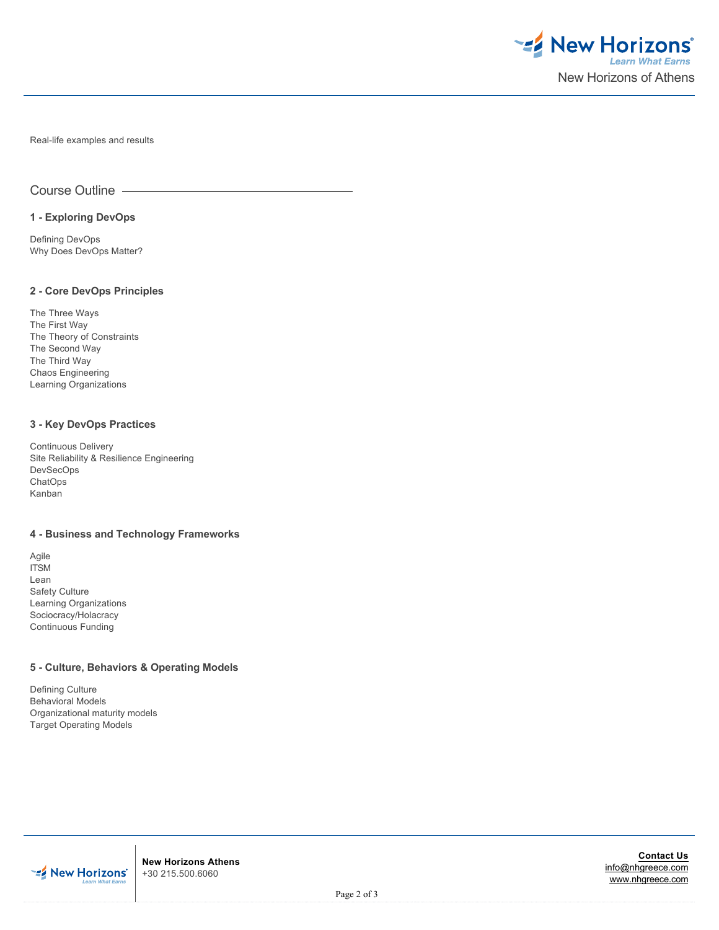

Real-life examples and results

Course Outline

### **1 - Exploring DevOps**

Defining DevOps Why Does DevOps Matter?

## **2 - Core DevOps Principles**

The Three Ways The First Way The Theory of Constraints The Second Way The Third Way Chaos Engineering Learning Organizations

#### **3 - Key DevOps Practices**

Continuous Delivery Site Reliability & Resilience Engineering DevSecOps **ChatOps** Kanban

## **4 - Business and Technology Frameworks**

Agile ITSM Lean Safety Culture Learning Organizations Sociocracy/Holacracy Continuous Funding

## **5 - Culture, Behaviors & Operating Models**

Defining Culture Behavioral Models Organizational maturity models Target Operating Models



**New Horizons Athens** +30 215.500.6060

**Contact Us** [info@nhgreece.com](mailto:info@nhgreece.com) [www.nhgreece.com](http://www.nhgreece.com)